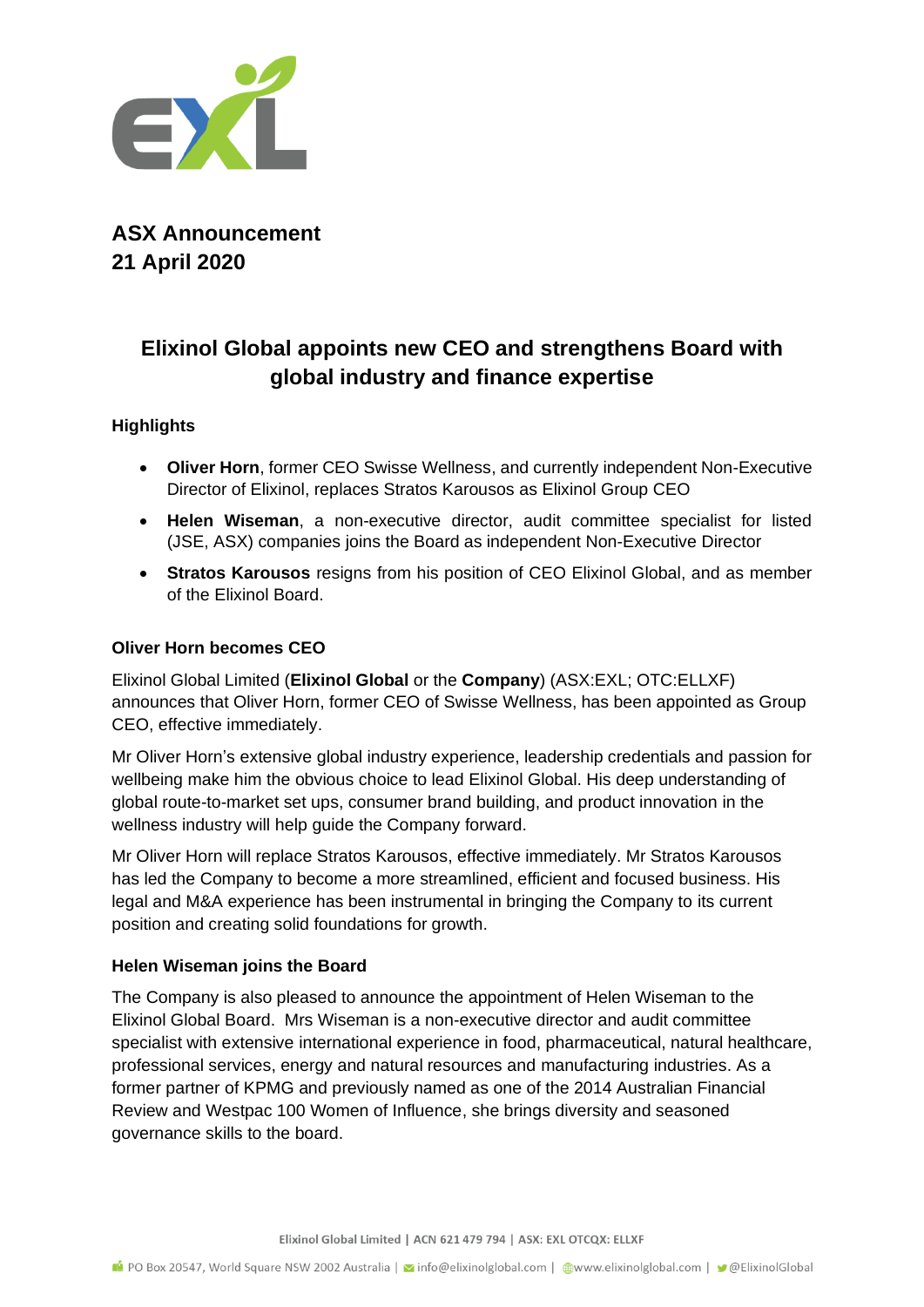

**ASX Announcement 21 April 2020**

# **Elixinol Global appoints new CEO and strengthens Board with global industry and finance expertise**

## **Highlights**

- **Oliver Horn**, former CEO Swisse Wellness, and currently independent Non-Executive Director of Elixinol, replaces Stratos Karousos as Elixinol Group CEO
- **Helen Wiseman**, a non-executive director, audit committee specialist for listed (JSE, ASX) companies joins the Board as independent Non-Executive Director
- **Stratos Karousos** resigns from his position of CEO Elixinol Global, and as member of the Elixinol Board.

## **Oliver Horn becomes CEO**

Elixinol Global Limited (**Elixinol Global** or the **Company**) (ASX:EXL; OTC:ELLXF) announces that Oliver Horn, former CEO of Swisse Wellness, has been appointed as Group CEO, effective immediately.

Mr Oliver Horn's extensive global industry experience, leadership credentials and passion for wellbeing make him the obvious choice to lead Elixinol Global. His deep understanding of global route-to-market set ups, consumer brand building, and product innovation in the wellness industry will help guide the Company forward.

Mr Oliver Horn will replace Stratos Karousos, effective immediately. Mr Stratos Karousos has led the Company to become a more streamlined, efficient and focused business. His legal and M&A experience has been instrumental in bringing the Company to its current position and creating solid foundations for growth.

### **Helen Wiseman joins the Board**

The Company is also pleased to announce the appointment of Helen Wiseman to the Elixinol Global Board. Mrs Wiseman is a non-executive director and audit committee specialist with extensive international experience in food, pharmaceutical, natural healthcare, professional services, energy and natural resources and manufacturing industries. As a former partner of KPMG and previously named as one of the 2014 Australian Financial Review and Westpac 100 Women of Influence, she brings diversity and seasoned governance skills to the board.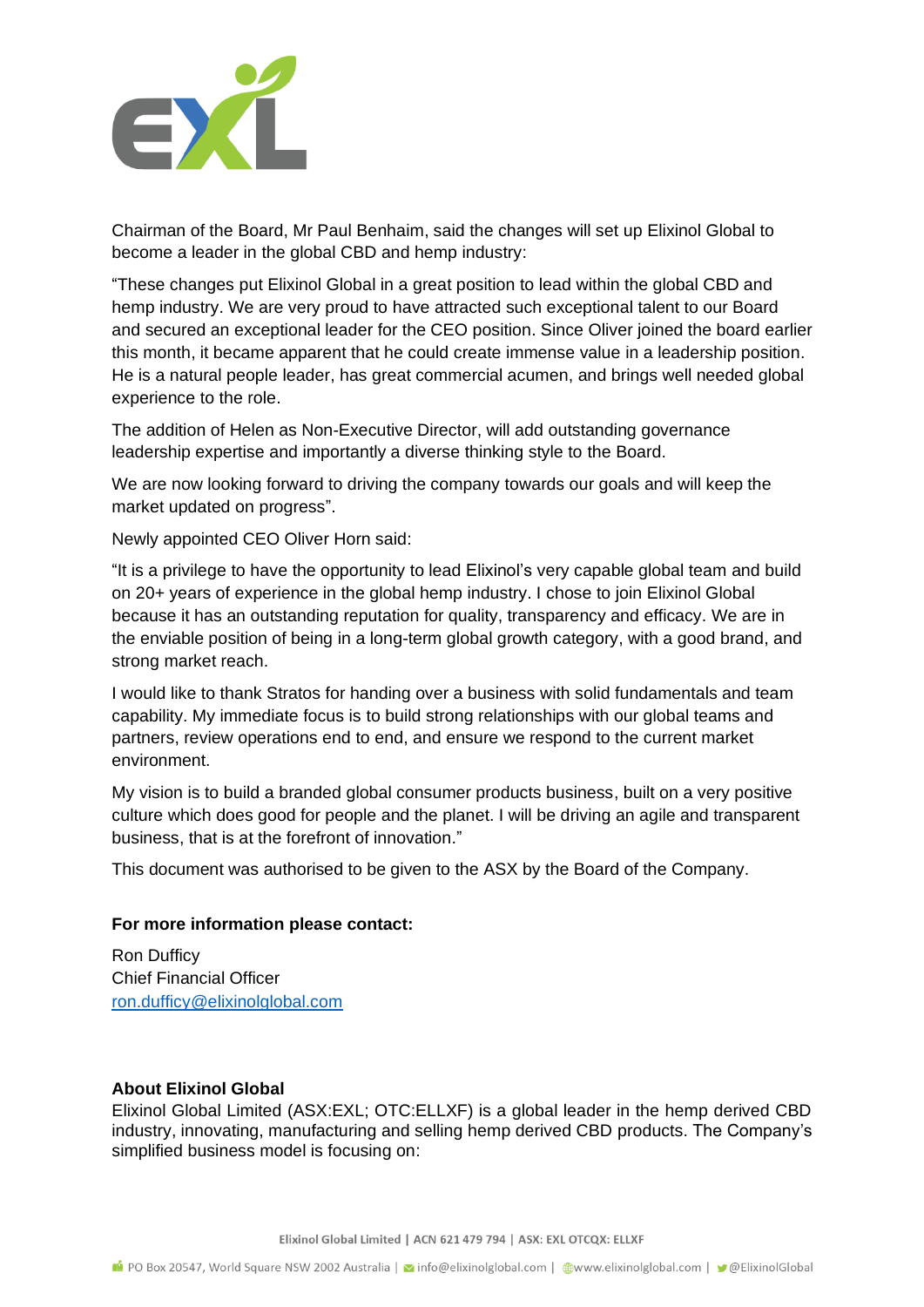

Chairman of the Board, Mr Paul Benhaim, said the changes will set up Elixinol Global to become a leader in the global CBD and hemp industry:

"These changes put Elixinol Global in a great position to lead within the global CBD and hemp industry. We are very proud to have attracted such exceptional talent to our Board and secured an exceptional leader for the CEO position. Since Oliver joined the board earlier this month, it became apparent that he could create immense value in a leadership position. He is a natural people leader, has great commercial acumen, and brings well needed global experience to the role.

The addition of Helen as Non-Executive Director, will add outstanding governance leadership expertise and importantly a diverse thinking style to the Board.

We are now looking forward to driving the company towards our goals and will keep the market updated on progress".

Newly appointed CEO Oliver Horn said:

"It is a privilege to have the opportunity to lead Elixinol's very capable global team and build on 20+ years of experience in the global hemp industry. I chose to join Elixinol Global because it has an outstanding reputation for quality, transparency and efficacy. We are in the enviable position of being in a long-term global growth category, with a good brand, and strong market reach.

I would like to thank Stratos for handing over a business with solid fundamentals and team capability. My immediate focus is to build strong relationships with our global teams and partners, review operations end to end, and ensure we respond to the current market environment.

My vision is to build a branded global consumer products business, built on a very positive culture which does good for people and the planet. I will be driving an agile and transparent business, that is at the forefront of innovation."

This document was authorised to be given to the ASX by the Board of the Company.

#### **For more information please contact:**

Ron Dufficy Chief Financial Officer [ron.dufficy@elixinolglobal.com](mailto:ron.dufficy@elixinolglobal.com)

#### **About Elixinol Global**

Elixinol Global Limited (ASX:EXL; OTC:ELLXF) is a global leader in the hemp derived CBD industry, innovating, manufacturing and selling hemp derived CBD products. The Company's simplified business model is focusing on: